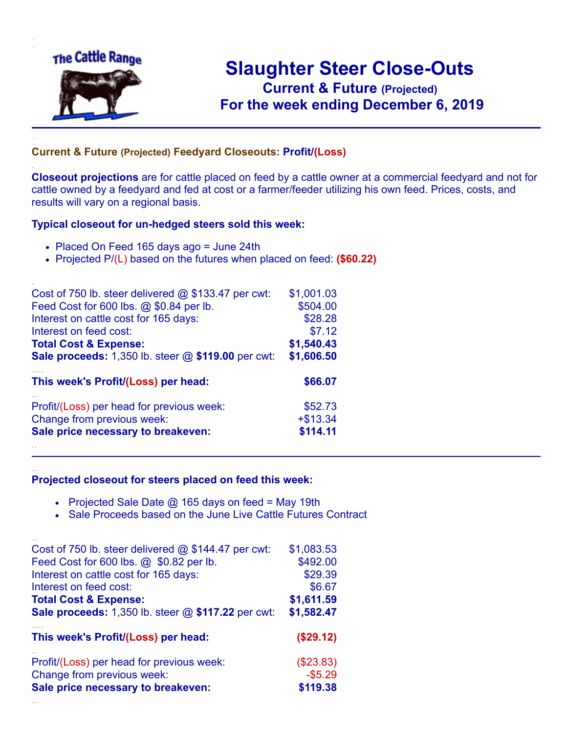

.

..

## **Slaughter Steer Close-Outs Current & Future (Projected)** .**For the week ending December 6, 2019**

## **Current & Future (Projected) Feedyard Closeouts: Profit/(Loss)**

**Closeout projections** are for cattle placed on feed by a cattle owner at a commercial feedyard and not for cattle owned by a feedyard and fed at cost or a farmer/feeder utilizing his own feed. Prices, costs, and results will vary on a regional basis.

## **Typical closeout for un-hedged steers sold this week:**

- Placed On Feed 165 days ago = June 24th
- Projected P/(L) based on the futures when placed on feed: **(\$60.22)**

| Cost of 750 lb. steer delivered $@$ \$133.47 per cwt:       | \$1,001.03  |
|-------------------------------------------------------------|-------------|
| Feed Cost for 600 lbs. @ \$0.84 per lb.                     | \$504.00    |
| Interest on cattle cost for 165 days:                       | \$28.28     |
| Interest on feed cost:                                      | \$7.12      |
| <b>Total Cost &amp; Expense:</b>                            | \$1,540.43  |
| <b>Sale proceeds:</b> 1,350 lb. steer $@$ \$119.00 per cwt: | \$1,606.50  |
| This week's Profit/(Loss) per head:                         | \$66.07     |
| Profit/(Loss) per head for previous week:                   | \$52.73     |
|                                                             |             |
| Change from previous week:                                  | $+$ \$13.34 |
| Sale price necessary to breakeven:                          | \$114.11    |

## **Projected closeout for steers placed on feed this week:**

- Projected Sale Date  $@$  165 days on feed = May 19th
- Sale Proceeds based on the June Live Cattle Futures Contract

| Cost of 750 lb. steer delivered $@$ \$144.47 per cwt:       | \$1,083.53 |
|-------------------------------------------------------------|------------|
| Feed Cost for 600 lbs. @ \$0.82 per lb.                     | \$492.00   |
| Interest on cattle cost for 165 days:                       | \$29.39    |
| Interest on feed cost:                                      | \$6.67     |
| <b>Total Cost &amp; Expense:</b>                            | \$1,611.59 |
| <b>Sale proceeds:</b> 1,350 lb. steer $@$ \$117.22 per cwt: | \$1,582.47 |
| This week's Profit/(Loss) per head:                         | (\$29.12)  |
| Profit/(Loss) per head for previous week:                   | (\$23.83)  |
| Change from previous week:                                  | $-$5.29$   |
| Sale price necessary to breakeven:                          | \$119.38   |
|                                                             |            |